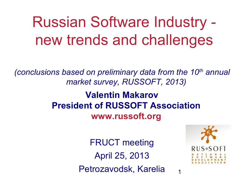### Russian Software Industry new trends and challenges

*(conclusions based on preliminary data from the 10th annual market survey, RUSSOFT, 2013)*

#### **Valentin Makarov President of RUSSOFT Association www.russoft.org**

FRUCT meeting April 25, 2013 Petrozavodsk, Karelia



1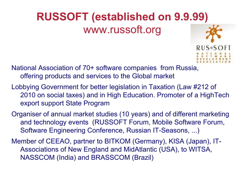#### **RUSSOFT (established on 9.9.99)** www.russoft.org



National Association of 70+ software companies from Russia, offering products and services to the Global market

- Lobbying Government for better legislation in Taxation (Law #212 of 2010 on social taxes) and in High Education. Promoter of a HighTech export support State Program
- Organiser of annual market studies (10 years) and of different marketing and technology events (RUSSOFT Forum, Mobile Software Forum, Software Engineering Conference, Russian IT-Seasons, ...)
- Member of CEEAO, partner to BITKOM (Germany), KISA (Japan), IT-Associations of New England and MidAtlantic (USA), to WITSA, NASSCOM (India) and BRASSCOM (Brazil)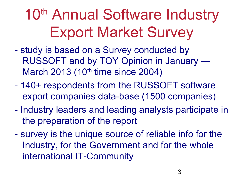# 10<sup>th</sup> Annual Software Industry Export Market Survey

- study is based on a Survey conducted by RUSSOFT and by TOY Opinion in January — March 2013 (10<sup>th</sup> time since 2004)
- 140+ respondents from the RUSSOFT software export companies data-base (1500 companies)
- Industry leaders and leading analysts participate in the preparation of the report
- survey is the unique source of reliable info for the Industry, for the Government and for the whole international IT-Community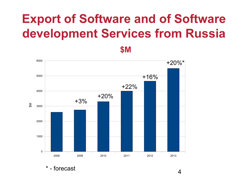#### **Export of Software and of Software development Services from Russia**

**\$M**



- forecast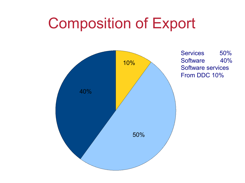### Composition of Export



Services 50% Software 40% Software services From DDC 10%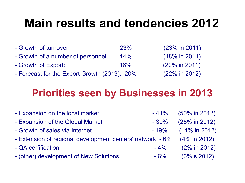#### **Main results and tendencies 2012**

- Growth of turnover: 23% (23% in 2011) - Growth of a number of personnel: 14% (18% in 2011) - Growth of Export: 16% (20% in 2011)
- Forecast for the Export Growth (2013): 20% (22% in 2012)

#### **Priorities seen by Businesses in 2013**

| - Expansion on the local market                           | $-41%$  | $(50\%$ in 2012) |
|-----------------------------------------------------------|---------|------------------|
| - Expansion of the Global Market                          | $-30\%$ | (25% in 2012)    |
| - Growth of sales via Internet                            | - 19%   | $(14\%$ in 2012) |
| - Extension of regional development centers' network - 6% |         | $(4\%$ in 2012)  |
| - QA cerfification                                        | $-4\%$  | $(2\%$ in 2012)  |
| - (other) development of New Solutions                    | $-6\%$  | $(6\% B 2012)$   |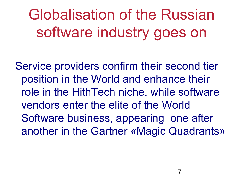Globalisation of the Russian software industry goes on

Service providers confirm their second tier position in the World and enhance their role in the HithTech niche, while software vendors enter the elite of the World Software business, appearing one after another in the Gartner «Magic Quadrants»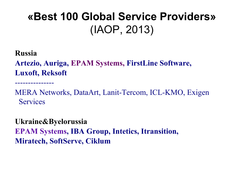#### **«Best 100 Global Service Providers»**  (IAOP, 2013)

**Russia**

---------------

**Artezio, Auriga, EPAM Systems, FirstLine Software, Luxoft, Reksoft**

MERA Networks, DataArt, Lanit-Tercom, ICL-KMO, Exigen **Services** 

**Ukraine&Byelorussia EPAM Systems, IBA Group, Intetics, Itransition, Miratech, SoftServe, Ciklum**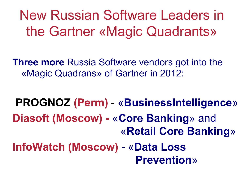New Russian Software Leaders in the Gartner «Magic Quadrants»

**Three more** Russia Software vendors got into the «Magic Quadrans» of Gartner in 2012:

**PROGNOZ (Perm)** - «**BusinessIntelligence**» **Diasoft (Moscow) -** «**Core Banking**» and «**Retail Core Banking**» **InfoWatch (Moscow)** - «**Data Loss Prevention**»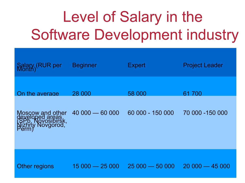## Level of Salary in the Software Development industry

| Salary (RUR per<br>Month)                                                              | <b>Beginner</b> | <b>Expert</b>    | <b>Project Leader</b> |
|----------------------------------------------------------------------------------------|-----------------|------------------|-----------------------|
| On the average                                                                         | 28 000          | 58 000           | 61 700                |
| Moscow and other<br>developed areas<br>(SPb, Novosibirsk,<br>Nizhny Novgorod,<br>Perm) | $40000 - 60000$ | 60 000 - 150 000 | 70 000 -150 000       |
| <b>Other regions</b>                                                                   | $15000 - 25000$ | $25000 - 50000$  | $2000 - 4500$         |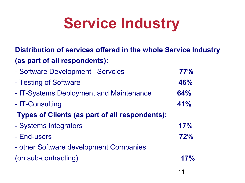## **Service Industry**

#### **Distribution of services offered in the whole Service Industry (as part of all respondents):**

| - Software Development Servcies                       | 77% |
|-------------------------------------------------------|-----|
| - Testing of Software                                 | 46% |
| - IT-Systems Deployment and Maintenance               | 64% |
| - IT-Consulting                                       | 41% |
| <b>Types of Clients (as part of all respondents):</b> |     |
| - Systems Integrators                                 | 17% |
| - End-users                                           | 72% |
| - other Software development Companies                |     |
| (on sub-contracting)                                  | 17% |
|                                                       |     |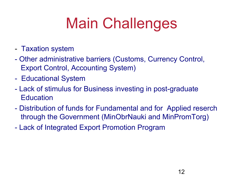# Main Challenges

- Taxation system
- Other administrative barriers (Customs, Currency Control, Export Control, Accounting System)
- Educational System
- Lack of stimulus for Business investing in post-graduate **Education**
- Distribution of funds for Fundamental and for Applied reserch through the Government (MinObrNauki and MinPromTorg)
- Lack of Integrated Export Promotion Program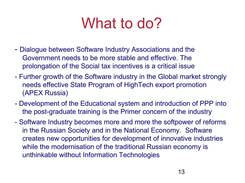### What to do?

- Dialogue between Software Industry Associations and the Government needs to be more stable and effective. The prolongation of the Social tax incentives is a critical issue
- Further growth of the Software industry in the Global market strongly needs effective State Program of HighTech export promotion (APEX Russia)
- Development of the Educational system and introduction of PPP into the post-graduate training is the Primer concern of the industry
- Software Industry becomes more and more the softpower of reforms in the Russian Society and in the National Economy. Software creates new opportunities for development of innovative industries while the modernisation of the traditional Russian economy is unthinkable without Information Technologies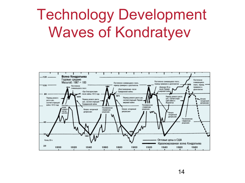## Technology Development Waves of Kondratyev

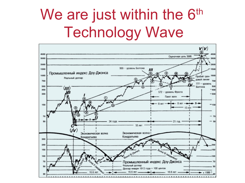## We are just within the 6<sup>th</sup> Technology Wave

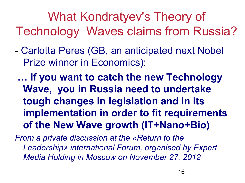What Kondratyev's Theory of Technology Waves claims from Russia?

- Carlotta Peres (GB, an anticipated next Nobel Prize winner in Economics):

 **… if you want to catch the new Technology Wave, you in Russia need to undertake tough changes in legislation and in its implementation in order to fit requirements of the New Wave growth (IT+Nano+Bio)**

*From a private discussion at the «Return to the Leadership» international Forum, organised by Expert Media Holding in Moscow on November 27, 2012*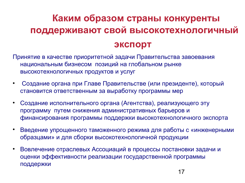#### **Каким образом страны конкуренты поддерживают свой высокотехнологичный экспорт**

Принятие в качестве приоритетной задачи Правительства завоевания национальным бизнесом позиций на глобальном рынке высокотехнологичных продуктов и услуг

- Создание органа при Главе Правительстве (или президенте), который становится ответственным за выработку программы мер
- Создание исполнительного органа (Агентства), реализующего эту программу путем снижения административных барьеров и финансирования программы поддержки высокотехнологичного экспорта
- Введение упрощенного таможенного режима для работы с «инженерными образцами» и для сборки высокотехнологичной продукции
- Вовлечение отраслевых Ассоциаций в процессы постановки задачи и оценки эффективности реализации государственной программы поддержки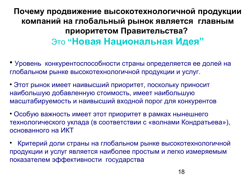#### **Почему продвижение высокотехнологичной продукции компаний на глобальный рынок является главным приоритетом Правительства?**  Это **"Новая Национальная Идея"**

 Уровень конкурентоспособности страны определяется ее долей на глобальном рынке высокотехнологичной продукции и услуг.

 Этот рынок имеет наивысший приоритет, поскольку приносит наибольшую добавленную стоимость, имеет наибольшую масштабируемость и наивысший входной порог для конкурентов

 Особую важность имеет этот приоритет в рамках нынешнего технологического уклада (в соответствии с «волнами Кондратьева»), основанного на ИКТ

 Критерий доли страны на глобальном рынке высокотехнологичной продукции и услуг является наиболее простым и легко измеряемым показателем эффективности государства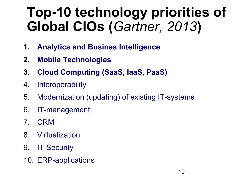#### **Top-10 technology priorities of Global CIOs (***Gartner, 2013***)**

- **1. Analytics and Busines Intelligence**
- **2. Mobile Technologies**
- **3. Cloud Computing (SaaS, IaaS, PaaS)**
- 4. Interoperability
- 5. Modernization (updating) of existing IT-systems
- 6. IT-management
- 7. CRM
- 8. Virtualization
- 9. IT-Security
- 10. ERP-applications